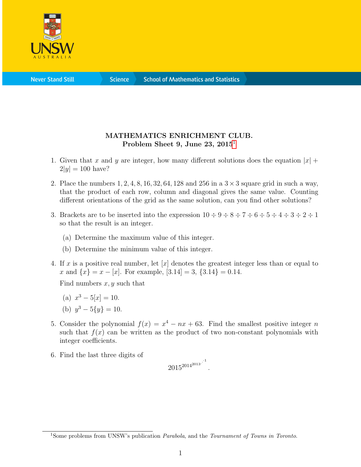

**Science** 

## MATHEMATICS ENRICHMENT CLUB. Problem Sheet 9, June 23,  $2015<sup>1</sup>$  $2015<sup>1</sup>$  $2015<sup>1</sup>$

- 1. Given that x and y are integer, how many different solutions does the equation  $|x|$  +  $2|y| = 100$  have?
- 2. Place the numbers  $1, 2, 4, 8, 16, 32, 64, 128$  and  $256$  in a  $3 \times 3$  square grid in such a way, that the product of each row, column and diagonal gives the same value. Counting different orientations of the grid as the same solution, can you find other solutions?
- 3. Brackets are to be inserted into the expression  $10 \div 9 \div 8 \div 7 \div 6 \div 5 \div 4 \div 3 \div 2 \div 1$ so that the result is an integer.
	- (a) Determine the maximum value of this integer.
	- (b) Determine the minimum value of this integer.
- 4. If x is a positive real number, let  $[x]$  denotes the greatest integer less than or equal to x and  $\{x\} = x - [x]$ . For example,  $[3.14] = 3$ ,  $\{3.14\} = 0.14$ .

Find numbers  $x, y$  such that

- (a)  $x^3 5[x] = 10$ .
- (b)  $y^3 5\{y\} = 10$ .
- 5. Consider the polynomial  $f(x) = x^4 nx + 63$ . Find the smallest positive integer n such that  $f(x)$  can be written as the product of two non-constant polynomials with integer coefficients.
- 6. Find the last three digits of

$$
2015^{2014^{2013}} \cdot
$$
<sup>1</sup>.

<span id="page-0-0"></span><sup>&</sup>lt;sup>1</sup>Some problems from UNSW's publication *Parabola*, and the *Tournament of Towns in Toronto*.